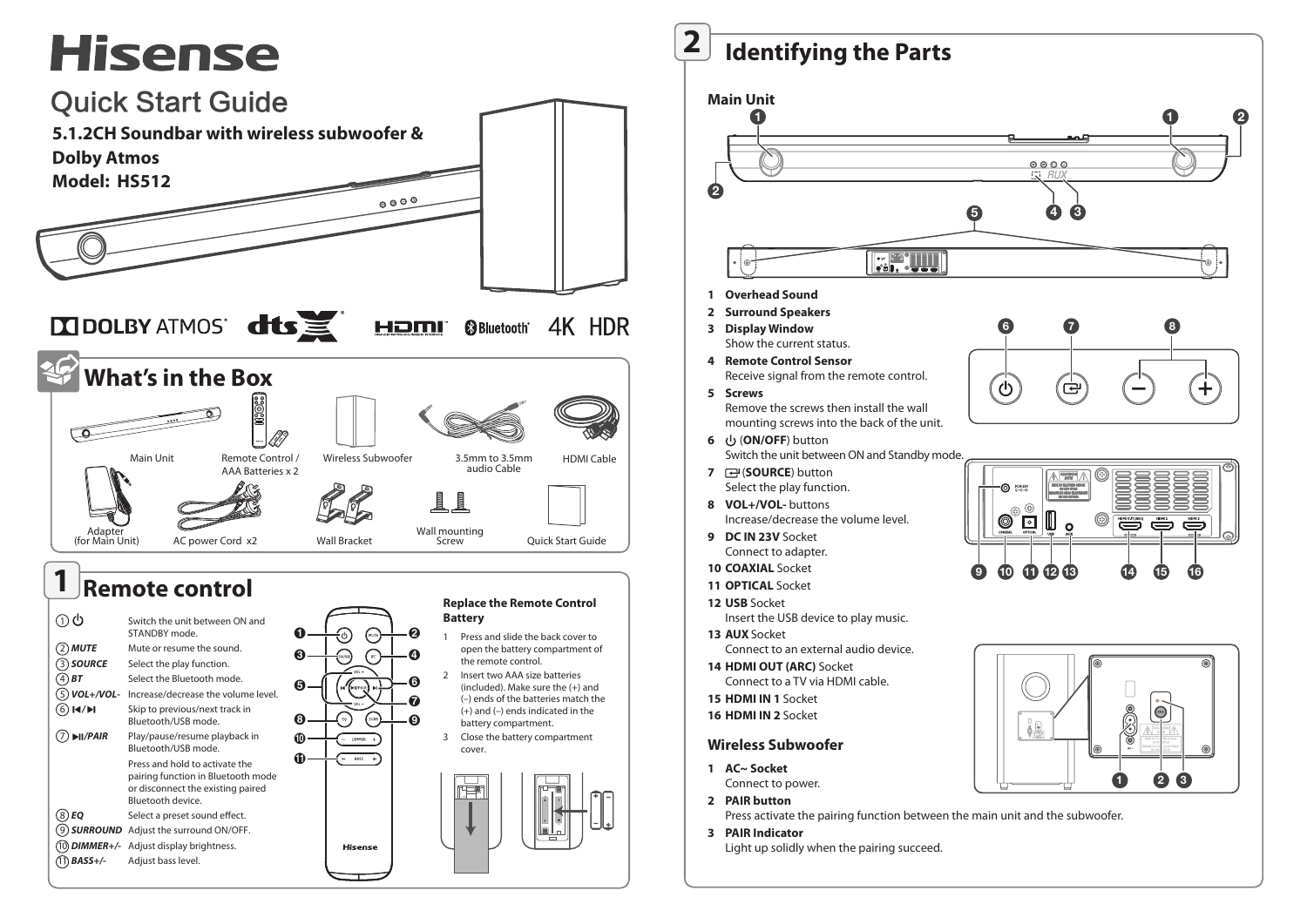# **Hisense**



**2 Identifying the Parts Identifying the Parts**



- Select the play function. **8 VOL+/VOL-** buttons
- Increase/decrease the volume level.
- **9 DC IN 23V** Socket Connect to adapter.
- **10 COAXIAL** Socket
- **11 OPTICAL** Socket
- **12 USB** Socket Insert the USB device to play music.
- **13 AUX** Socket Connect to an external audio device.
- **14 HDMI OUT (ARC)** Socket Connect to a TV via HDMI cable.
- **15 HDMI IN 1** Socket
- **16 HDMI IN 2** Socket

## **Wireless Subwoofer**

- **1 AC~ Socket** Connect to power.
- **2 PAIR button**

Press activate the pairing function between the main unit and the subwoofer.

8

**3 PAIR Indicator** Light up solidly when the pairing succeed.